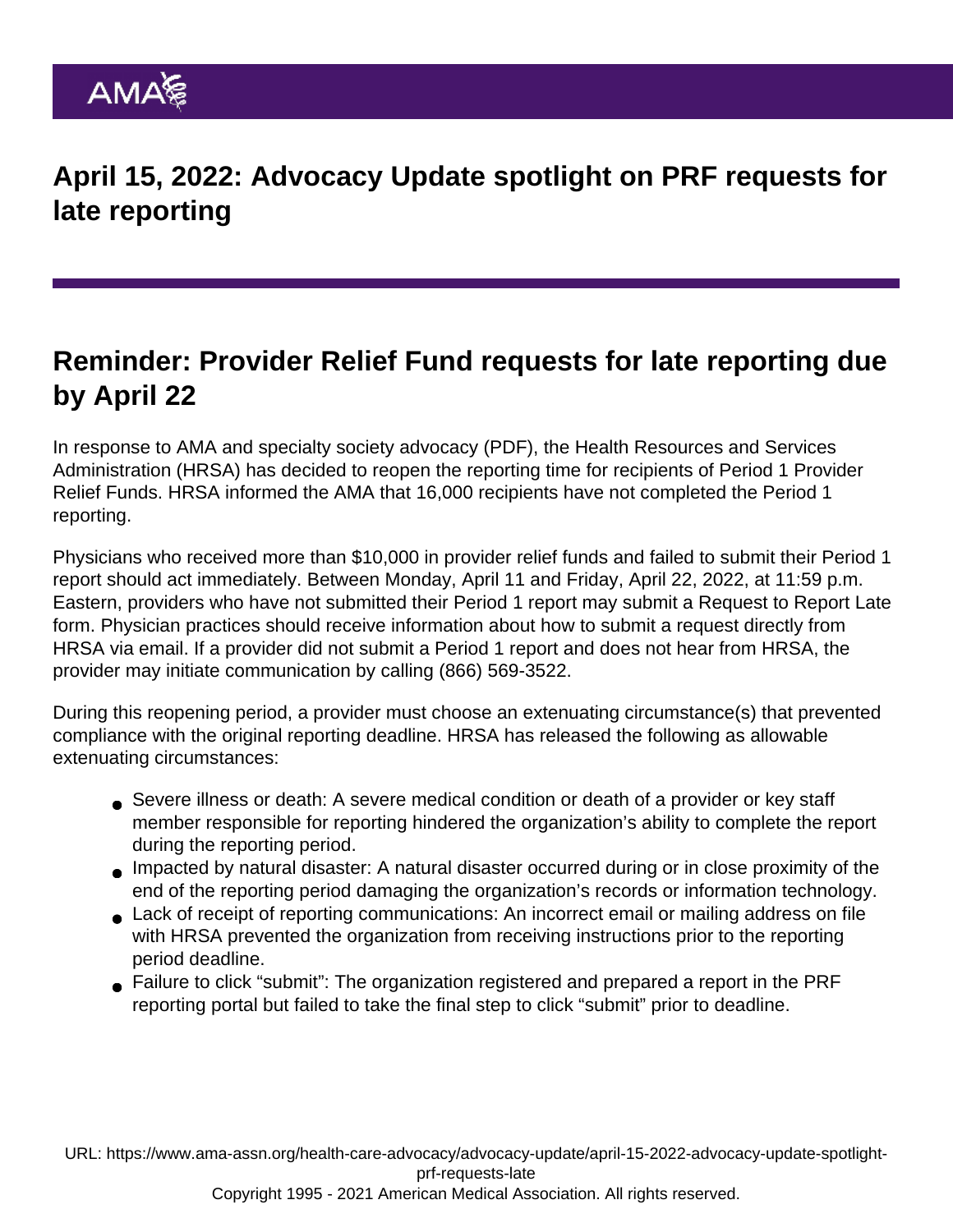## Reminder: Provider Relief Fund requests for late reporting due by April 22

In response to AMA and specialty society [advocacy](https://searchlf.ama-assn.org/letter/documentDownload?uri=/unstructured/binary/letter/LETTERS/2022-03-31-Letter-to-HRSA-Johnson-re-Provider-Relief-Funding-Period-1-reopening-FINAL.pdf) (PDF), the Health Resources and Services Administration (HRSA) has decided to reopen the reporting time for recipients of Period 1 Provider Relief Funds. HRSA informed the AMA that 16,000 recipients have not completed the Period 1 reporting.

Physicians who received more than \$10,000 in provider relief funds and failed to submit their Period 1 report should act immediately. Between Monday, April 11 and Friday, April 22, 2022, at 11:59 p.m. Eastern, providers who have not submitted their Period 1 report may submit a [Request to Report Late](https://www.hrsa.gov/provider-relief/reporting-auditing/late-reporting-requests) [form](https://www.hrsa.gov/provider-relief/reporting-auditing/late-reporting-requests). Physician practices should receive information about how to submit a request directly from HRSA via email. If a provider did not submit a Period 1 report and does not hear from HRSA, the provider may initiate communication by calling (866) 569-3522.

During this reopening period, a provider must choose an extenuating circumstance(s) that prevented compliance with the original reporting deadline. HRSA has released the following as allowable extenuating circumstances:

- Severe illness or death: A severe medical condition or death of a provider or key staff member responsible for reporting hindered the organization's ability to complete the report during the reporting period.
- Impacted by natural disaster: A natural disaster occurred during or in close proximity of the end of the reporting period damaging the organization's records or information technology.
- Lack of receipt of reporting communications: An incorrect email or mailing address on file with HRSA prevented the organization from receiving instructions prior to the reporting period deadline.
- Failure to click "submit": The organization registered and prepared a report in the PRF reporting portal but failed to take the final step to click "submit" prior to deadline.

URL: [https://www.ama-assn.org/health-care-advocacy/advocacy-update/april-15-2022-advocacy-update-spotlight](https://www.ama-assn.org/health-care-advocacy/advocacy-update/april-15-2022-advocacy-update-spotlight-prf-requests-late)[prf-requests-late](https://www.ama-assn.org/health-care-advocacy/advocacy-update/april-15-2022-advocacy-update-spotlight-prf-requests-late)